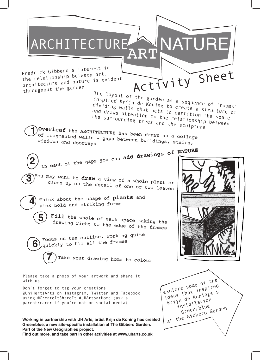## ARCHITECTURE ART NATURE

Fredrick Gibberd's interest in the relationship between art, architecture and nature is evident throughout the garden

The layout of the garden as a sequence of 'rooms' inspired Krijn de Koning to create a structure of dividing walls that acts to partition the space and draws attention to the relationship between the surrounding trees and the sculpture Activity Shee<sup>t</sup>

**Overleaf** the ARCHITECTURE has been drawn as a collage<br>of fragmented walls - gaps between buildings, stairs,<br>windows and doorways of fragmented walls - gaps between buildings, stairs, windows and doorways **1**

You may want to **draw** a view of a whole plant or close up on the detail of one or two leaves

Think about the shape of **plants** and <sup>p</sup>ick bold and striking forms

> **Fill** the whole of each space taking the drawing right to the edge of the frames

Focus on the outline, working quite quickly to fill all the frames

**7** Take your drawing home to colour

Please take a photo of your artwork and share it with us

**5**

**6**

**4**

**3**

**2**

Don't forget to tag your creations @UniHertsArts on Instagram, Twitter and Facebook using #CreateItShareIt #UHArtsatHome (ask a parent/carer if you're not on social media)

**Working in partnership with UH Arts, artist Krijn de Koning has created Green/blue, a new site-specific installation at The Gibberd Garden. Part of the New Geographies project. Find out more, and take part in other activities at www.uharts.co.uk**



explore some of the ideas that inspired Krijn de Koning<sup>s</sup>'s installatio<sup>n</sup> Green/blu<sup>e</sup> at the Gibberd Garden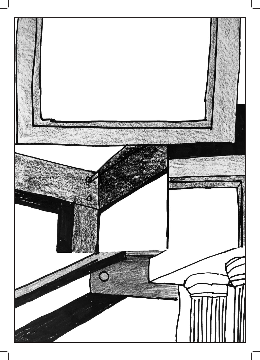